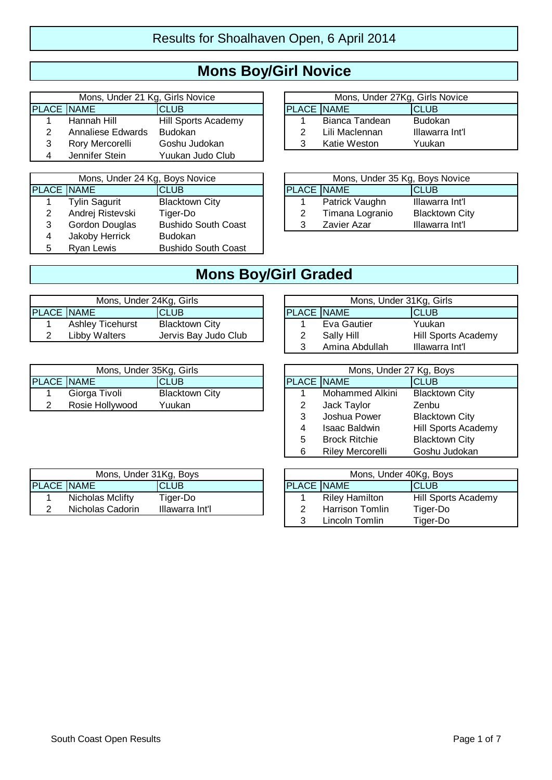# **Mons Boy/Girl Novice**

|                   | Mons, Under 21 Kg, Girls Novice |                     |                   | Mons, Under 27Kg, Girls Novice |                 |
|-------------------|---------------------------------|---------------------|-------------------|--------------------------------|-----------------|
| <b>PLACE NAME</b> |                                 | <b>CLUB</b>         | <b>PLACE NAME</b> |                                | <b>ICLUB</b>    |
|                   | Hannah Hill                     | Hill Sports Academy |                   | Bianca Tandean                 | <b>Budokan</b>  |
|                   | Annaliese Edwards               | <b>Budokan</b>      |                   | Lili Maclennan                 | Illawarra Int'l |
|                   | Rory Mercorelli                 | Goshu Judokan       |                   | Katie Weston                   | Yuukan          |
|                   | Jennifer Stein                  | Yuukan Judo Club    |                   |                                |                 |

|                   | Mons, Under 24 Kg, Boys Novice |                            |  |                   | Mons, Under 35 Kg, Boys Novice |                       |
|-------------------|--------------------------------|----------------------------|--|-------------------|--------------------------------|-----------------------|
| <b>PLACE NAME</b> |                                | <b>ICLUB</b>               |  | <b>PLACE NAME</b> |                                | <b>CLUB</b>           |
|                   | Tylin Sagurit                  | <b>Blacktown City</b>      |  |                   | Patrick Vaughn                 | Illawarra Int'l       |
|                   | Andrej Ristevski               | Tiger-Do                   |  |                   | Timana Logranio                | <b>Blacktown City</b> |
| 3                 | Gordon Douglas                 | <b>Bushido South Coast</b> |  |                   | Zavier Azar                    | Illawarra Int'l       |
| 4                 | Jakoby Herrick                 | <b>Budokan</b>             |  |                   |                                |                       |
|                   | <b>Ryan Lewis</b>              | <b>Bushido South Coast</b> |  |                   |                                |                       |

| Mons, Under 27Kg, Girls Novice |                |                 |  |  |  |  |  |
|--------------------------------|----------------|-----------------|--|--|--|--|--|
| <b>PLACE NAME</b>              |                | <b>CLUB</b>     |  |  |  |  |  |
|                                | Bianca Tandean | <b>Budokan</b>  |  |  |  |  |  |
| 2                              | Lili Maclennan | Illawarra Int'l |  |  |  |  |  |
| 3                              | Katie Weston   | Yuukan          |  |  |  |  |  |

| Mons, Under 24 Kg, Boys Novice |                            |  |                   | Mons, Under 35 Kg, Boys Novice |                       |
|--------------------------------|----------------------------|--|-------------------|--------------------------------|-----------------------|
| \ME                            | <b>CLUB</b>                |  | <b>PLACE NAME</b> |                                | <b>CLUB</b>           |
| lin Sagurit                    | <b>Blacktown City</b>      |  |                   | Patrick Vaughn                 | Illawarra Int'l       |
| drej Ristevski                 | Tiger-Do                   |  |                   | Timana Logranio                | <b>Blacktown City</b> |
| ordon Douglas                  | <b>Bushido South Coast</b> |  |                   | Zavier Azar                    | Illawarra Int'l       |

#### **Mons Boy/Girl Graded**

| Mons, Under 24Kg, Girls |                         |                       |                   | Mons, Under 31Kg, Girls |                     |
|-------------------------|-------------------------|-----------------------|-------------------|-------------------------|---------------------|
| <b>PLACE NAME</b>       |                         | <b>CLUB</b>           | <b>PLACE NAME</b> |                         | ICLUB               |
|                         | <b>Ashley Ticehurst</b> | <b>Blacktown City</b> |                   | Eva Gautier             | Yuukan              |
|                         | Libbv Walters           | Jervis Bay Judo Club  |                   | Sally Hill              | Hill Sports Academy |

|                   | Mons, Under 35Kg, Girls |                       |                   | Mons, Under 27 Kg, Boys |                       |
|-------------------|-------------------------|-----------------------|-------------------|-------------------------|-----------------------|
| <b>PLACE NAME</b> |                         | <b>CLUB</b>           | <b>PLACE NAME</b> |                         | CLUB                  |
|                   | Giorga Tivoli           | <b>Blacktown City</b> |                   | Mohammed Alkini         | <b>Blacktown City</b> |
|                   | Rosie Hollywood         | Yuukan                |                   | Jack Taylor             | Zenbu                 |

| Mons, Under 31Kg, Girls          |                |                     |  |  |  |  |  |
|----------------------------------|----------------|---------------------|--|--|--|--|--|
| <b>PLACE NAME</b><br><b>CLUB</b> |                |                     |  |  |  |  |  |
| 1                                | Eva Gautier    | Yuukan              |  |  |  |  |  |
| 2                                | Sally Hill     | Hill Sports Academy |  |  |  |  |  |
| 3                                | Amina Abdullah | Illawarra Int'l     |  |  |  |  |  |

| Mons, Under 35Kg, Girls |                       |   | Mons, Under 27 Kg, Boys |                         |                       |  |  |  |  |
|-------------------------|-----------------------|---|-------------------------|-------------------------|-----------------------|--|--|--|--|
| <b>CLUB</b>             |                       |   | <b>PLACE NAME</b>       |                         | <b>CLUB</b>           |  |  |  |  |
| Tivoli                  | <b>Blacktown City</b> |   |                         | Mohammed Alkini         | <b>Blacktown City</b> |  |  |  |  |
| Hollywood               | Yuukan                |   | 2                       | Jack Taylor             | Zenbu                 |  |  |  |  |
|                         |                       |   | 3                       | Joshua Power            | <b>Blacktown City</b> |  |  |  |  |
|                         |                       |   | 4                       | <b>Isaac Baldwin</b>    | Hill Sports Academy   |  |  |  |  |
|                         |                       | 5 | <b>Brock Ritchie</b>    | <b>Blacktown City</b>   |                       |  |  |  |  |
|                         |                       |   | 6                       | <b>Riley Mercorelli</b> | Goshu Judokan         |  |  |  |  |

|                   | Mons, Under 31Kg, Boys |                 |                   | Mons, Under 40Kg, Boy |                  |
|-------------------|------------------------|-----------------|-------------------|-----------------------|------------------|
| <b>PLACE NAME</b> |                        | ICLUB           | <b>PLACE NAME</b> |                       | ICLUB            |
|                   | Nicholas Mclifty       | Tiaer-Do        |                   | <b>Riley Hamilton</b> | <b>Hill Spor</b> |
|                   | Nicholas Cadorin       | Illawarra Int'l |                   | Harrison Tomlin       | Tiger-Dc         |

| Mons, Under 31Kg, Boys |                  |                 |                   |                        | Mons, Under 40Kg, Boys     |
|------------------------|------------------|-----------------|-------------------|------------------------|----------------------------|
|                        | <b>ACE INAME</b> | <b>CLUB</b>     | <b>PLACE NAME</b> |                        | <b>CLUB</b>                |
|                        | Nicholas Mclifty | Tiger-Do        |                   | <b>Riley Hamilton</b>  | <b>Hill Sports Academy</b> |
|                        | Nicholas Cadorin | Illawarra Int'l |                   | <b>Harrison Tomlin</b> | Tiger-Do                   |
|                        |                  |                 |                   | Lincoln Tomlin         | Tiger-Do                   |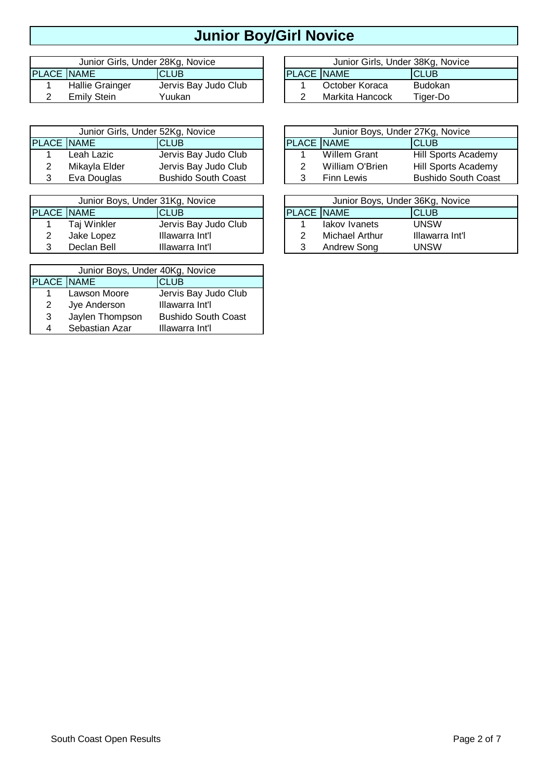# **Junior Boy/Girl Novice**

|                   | Junior Girls, Under 28Kg, Novice |                      |                     | Junior Girls, Under 38Kg, Novice |                |
|-------------------|----------------------------------|----------------------|---------------------|----------------------------------|----------------|
| <b>PLACE NAME</b> |                                  | <b>CLUB</b>          | <b>IPLACE INAME</b> |                                  | ICLUB          |
|                   | Hallie Grainger                  | Jervis Bay Judo Club |                     | October Koraca                   | <b>Budokan</b> |
|                   | Emily Stein                      | Yuukan               |                     | Markita Hancock                  | Tiger-Do       |

| Junior Girls, Under 52Kg, Novice |               |                            | Junior Boys, Under 27Kg, Novice |                   |                 |                            |  |
|----------------------------------|---------------|----------------------------|---------------------------------|-------------------|-----------------|----------------------------|--|
| <b>PLACE NAME</b>                |               | <b>CLUB</b>                |                                 | <b>PLACE NAME</b> |                 | <b>ICLUB</b>               |  |
|                                  | Leah Lazic    | Jervis Bay Judo Club       |                                 |                   | Willem Grant    | <b>Hill Sports Academy</b> |  |
|                                  | Mikayla Elder | Jervis Bay Judo Club       |                                 |                   | William O'Brien | <b>Hill Sports Academy</b> |  |
|                                  | Eva Douglas   | <b>Bushido South Coast</b> |                                 |                   | Finn Lewis      | <b>Bushido South Coast</b> |  |

| Junior Boys, Under 31Kg, Novice |             |                      |  | Junior Boys, Under 36Kg, Novic |                       |                 |
|---------------------------------|-------------|----------------------|--|--------------------------------|-----------------------|-----------------|
| <b>PLACE NAME</b>               |             | ICLUB                |  | <b>PLACE INAME</b>             |                       | <b>ICLUB</b>    |
|                                 | Taj Winkler | Jervis Bay Judo Club |  |                                | lakov Ivanets         | <b>UNSW</b>     |
|                                 | Jake Lopez  | Illawarra Int'l      |  |                                | <b>Michael Arthur</b> | Illawarra Int'l |
|                                 | Declan Bell | Illawarra Int'l      |  |                                | Andrew Song           | UNSW            |

| Junior Boys, Under 40Kg, Novice  |                 |                            |  |  |  |  |  |  |
|----------------------------------|-----------------|----------------------------|--|--|--|--|--|--|
| <b>PLACE NAME</b><br><b>CLUB</b> |                 |                            |  |  |  |  |  |  |
| $\mathbf 1$                      | Lawson Moore    | Jervis Bay Judo Club       |  |  |  |  |  |  |
| 2                                | Jye Anderson    | Illawarra Int'l            |  |  |  |  |  |  |
| 3                                | Jaylen Thompson | <b>Bushido South Coast</b> |  |  |  |  |  |  |
| 4                                | Sebastian Azar  | Illawarra Int'l            |  |  |  |  |  |  |

| Junior Girls, Under 38Kg, Novice |                 |                |  |  |  |  |  |  |
|----------------------------------|-----------------|----------------|--|--|--|--|--|--|
| PLACE NAME                       |                 | ICLUB          |  |  |  |  |  |  |
|                                  | October Koraca  | <b>Budokan</b> |  |  |  |  |  |  |
|                                  | Markita Hancock | Tiger-Do       |  |  |  |  |  |  |

| Junior Girls, Under 52Kg, Novice |                            |  | Junior Boys, Under 27Kg, Novice |                     |                            |  |  |
|----------------------------------|----------------------------|--|---------------------------------|---------------------|----------------------------|--|--|
| ۱ME                              | <b>CLUB</b>                |  | <b>PLACE NAME</b>               |                     | <b>ICLUB</b>               |  |  |
| ah Lazic                         | Jervis Bay Judo Club       |  |                                 | <b>Willem Grant</b> | <b>Hill Sports Academy</b> |  |  |
| kayla Elder                      | Jervis Bay Judo Club       |  |                                 | William O'Brien     | <b>Hill Sports Academy</b> |  |  |
| a Douglas                        | <b>Bushido South Coast</b> |  |                                 | Finn Lewis          | <b>Bushido South Coast</b> |  |  |

| Junior Boys, Under 31Kg, Novice |                      |  |                   | Junior Boys, Under 36Kg, Novice |                 |  |  |  |
|---------------------------------|----------------------|--|-------------------|---------------------------------|-----------------|--|--|--|
| <b>\ME</b>                      | <b>CLUB</b>          |  | <b>PLACE NAME</b> |                                 | ICLUB           |  |  |  |
| ıj Winkler                      | Jervis Bay Judo Club |  |                   | lakov Ivanets                   | <b>UNSW</b>     |  |  |  |
| ke Lopez                        | Illawarra Int'l      |  |                   | Michael Arthur                  | Illawarra Int'l |  |  |  |
| eclan Bell                      | Illawarra Int'l      |  |                   | Andrew Song                     | UNSW            |  |  |  |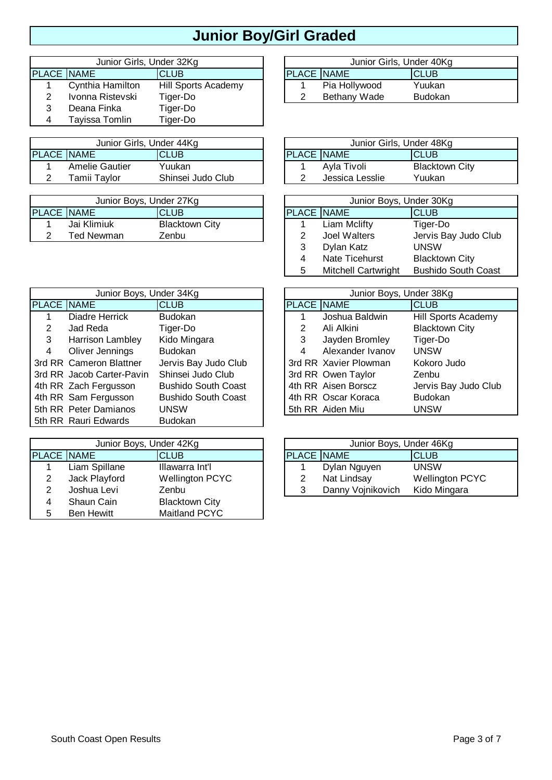# **Junior Boy/Girl Graded**

|                   | Junior Girls, Under 32Kg |                     |                   |               | Junior Girls, Under 40Kg |
|-------------------|--------------------------|---------------------|-------------------|---------------|--------------------------|
| <b>PLACE NAME</b> |                          | <b>CLUB</b>         | <b>PLACE NAME</b> |               | ICLUB                    |
|                   | Cynthia Hamilton         | Hill Sports Academy |                   | Pia Hollywood | Yuukan                   |
|                   | Ivonna Ristevski         | Tiger-Do            |                   | Bethany Wade  | <b>Budokan</b>           |
|                   | Deana Finka              | Tiger-Do            |                   |               |                          |
|                   | Tayissa Tomlin           | Tiger-Do            |                   |               |                          |

| Junior Girls, Under 44Kg |                       |                   |                   | Junior Girls, Under 48Kg |                       |
|--------------------------|-----------------------|-------------------|-------------------|--------------------------|-----------------------|
| <b>PLACE NAME</b>        |                       | <b>CLUB</b>       | <b>PLACE NAME</b> |                          | CLUB                  |
|                          | <b>Amelie Gautier</b> | Yuukan            |                   | Avla Tivoli              | <b>Blacktown City</b> |
|                          | Tamii Tavlor          | Shinsei Judo Club |                   | Jessica Lesslie          | Yuukan                |

| Junior Boys, Under 27Kg |             |                       | Junior Boys, Under 30Kg |              |                      |  |  |
|-------------------------|-------------|-----------------------|-------------------------|--------------|----------------------|--|--|
| <b>PLACE NAME</b>       |             | <b>CLUB</b>           | <b>PLACE NAME</b>       |              | <b>CLUB</b>          |  |  |
|                         | Jai Klimiuk | <b>Blacktown City</b> |                         | Liam Mclifty | Tiger-Do             |  |  |
|                         | Ted Newman  | Zenbu                 |                         | Joel Walters | Jervis Bay Judo Club |  |  |

| Junior Boys, Under 34Kg |                           |                            | Junior Boys, Under 38Kg |                       |                       |  |  |
|-------------------------|---------------------------|----------------------------|-------------------------|-----------------------|-----------------------|--|--|
| PLACE NAME              |                           | <b>CLUB</b>                | PLACE NAME              |                       | <b>CLUB</b>           |  |  |
|                         | Diadre Herrick            | <b>Budokan</b>             |                         | Joshua Baldwin        | Hill Sports Academy   |  |  |
| 2                       | Jad Reda                  | Tiger-Do                   | 2                       | Ali Alkini            | <b>Blacktown City</b> |  |  |
| 3                       | <b>Harrison Lambley</b>   | Kido Mingara               | 3                       | Jayden Bromley        | Tiger-Do              |  |  |
| 4                       | Oliver Jennings           | <b>Budokan</b>             | 4                       | Alexander Ivanov      | <b>UNSW</b>           |  |  |
|                         | 3rd RR Cameron Blattner   | Jervis Bay Judo Club       |                         | 3rd RR Xavier Plowman | Kokoro Judo           |  |  |
|                         | 3rd RR Jacob Carter-Pavin | Shinsei Judo Club          |                         | 3rd RR Owen Taylor    | Zenbu                 |  |  |
|                         | 4th RR Zach Fergusson     | <b>Bushido South Coast</b> |                         | 4th RR Aisen Borscz   | Jervis Bay Judo Club  |  |  |
|                         | 4th RR Sam Fergusson      | <b>Bushido South Coast</b> |                         | 4th RR Oscar Koraca   | <b>Budokan</b>        |  |  |
|                         | 5th RR Peter Damianos     | <b>UNSW</b>                |                         | 5th RR Aiden Miu      | <b>UNSW</b>           |  |  |
|                         | 5th RR Rauri Edwards      | <b>Budokan</b>             |                         |                       |                       |  |  |

| Junior Boys, Under 42Kg |                   |                        | Junior Boys, Under 46Kg |                   |                        |  |  |
|-------------------------|-------------------|------------------------|-------------------------|-------------------|------------------------|--|--|
| <b>PLACE NAME</b>       |                   | <b>ICLUB</b>           | <b>PLACE NAME</b>       |                   | ICLUB                  |  |  |
|                         | Liam Spillane     | Illawarra Int'l        |                         | Dylan Nguyen      | <b>UNSW</b>            |  |  |
|                         | Jack Playford     | <b>Wellington PCYC</b> |                         | Nat Lindsay       | <b>Wellington PCYC</b> |  |  |
|                         | Joshua Levi       | Zenbu                  |                         | Danny Vojnikovich | Kido Mingara           |  |  |
|                         | Shaun Cain        | <b>Blacktown City</b>  |                         |                   |                        |  |  |
| 5                       | <b>Ben Hewitt</b> | Maitland PCYC          |                         |                   |                        |  |  |

| Junior Girls, Under 40Kg |               |                |  |  |  |  |  |  |
|--------------------------|---------------|----------------|--|--|--|--|--|--|
| <b>PLACE NAME</b>        |               | <b>ICLUB</b>   |  |  |  |  |  |  |
|                          | Pia Hollywood | Yuukan         |  |  |  |  |  |  |
| 2                        | Bethany Wade  | <b>Budokan</b> |  |  |  |  |  |  |

| Junior Girls, Under 44Kg |                   |  | Junior Girls, Under 48Kg |                 |                       |  |  |  |
|--------------------------|-------------------|--|--------------------------|-----------------|-----------------------|--|--|--|
|                          | <b>CLUB</b>       |  | <b>IPLACE INAME</b>      |                 | <b>CLUB</b>           |  |  |  |
| : Gautier                | Yuukan            |  |                          | Avla Tivoli     | <b>Blacktown City</b> |  |  |  |
| Tavlor                   | Shinsei Judo Club |  |                          | Jessica Lesslie | Yuukan                |  |  |  |

| Junior Boys, Under 30Kg |                       |                            |  |  |  |  |  |
|-------------------------|-----------------------|----------------------------|--|--|--|--|--|
| PLACE NAME              |                       | <b>CLUB</b>                |  |  |  |  |  |
| 1.                      | <b>Liam Mclifty</b>   | Tiger-Do                   |  |  |  |  |  |
| $\mathcal{P}$           | <b>Joel Walters</b>   | Jervis Bay Judo Club       |  |  |  |  |  |
| 3                       | Dylan Katz            | <b>UNSW</b>                |  |  |  |  |  |
| 4                       | <b>Nate Ticehurst</b> | <b>Blacktown City</b>      |  |  |  |  |  |
| 5                       | Mitchell Cartwright   | <b>Bushido South Coast</b> |  |  |  |  |  |

| Junior Boys, Under 34Kg |                            |  |                   | Junior Boys, Under 38Kg |                            |
|-------------------------|----------------------------|--|-------------------|-------------------------|----------------------------|
|                         | <b>CLUB</b>                |  | <b>PLACE NAME</b> |                         | <b>CLUB</b>                |
| Herrick                 | <b>Budokan</b>             |  |                   | Joshua Baldwin          | <b>Hill Sports Academy</b> |
| eda                     | Tiger-Do                   |  | 2                 | Ali Alkini              | <b>Blacktown City</b>      |
| on Lambley              | Kido Mingara               |  | 3                 | Jayden Bromley          | Tiger-Do                   |
| Jennings                | <b>Budokan</b>             |  | 4                 | Alexander Ivanov        | <b>UNSW</b>                |
| on Blattner             | Jervis Bay Judo Club       |  |                   | 3rd RR Xavier Plowman   | Kokoro Judo                |
| Carter-Pavin            | Shinsei Judo Club          |  |                   | 3rd RR Owen Taylor      | Zenbu                      |
| ergusson                | <b>Bushido South Coast</b> |  |                   | 4th RR Aisen Borscz     | Jervis Bay Judo Club       |
| ergusson                | <b>Bushido South Coast</b> |  |                   | 4th RR Oscar Koraca     | <b>Budokan</b>             |
| <b>Damianos</b>         | <b>UNSW</b>                |  |                   | 5th RR Aiden Miu        | <b>UNSW</b>                |

| Junior Boys, Under 46Kg |                   |                        |  |  |  |  |
|-------------------------|-------------------|------------------------|--|--|--|--|
| <b>PLACE NAME</b>       |                   | <b>CLUB</b>            |  |  |  |  |
|                         | Dylan Nguyen      | <b>UNSW</b>            |  |  |  |  |
| 2                       | Nat Lindsay       | <b>Wellington PCYC</b> |  |  |  |  |
| 3                       | Danny Vojnikovich | Kido Mingara           |  |  |  |  |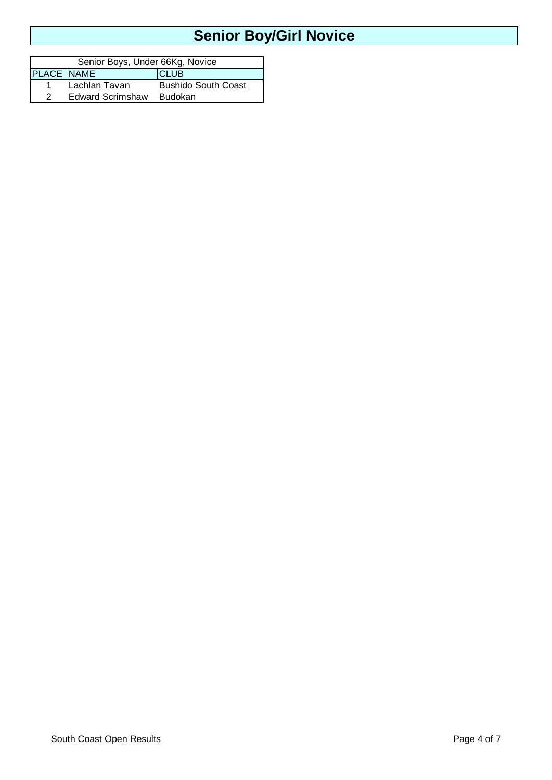# **Senior Boy/Girl Novice**

| Senior Boys, Under 66Kg, Novice |                         |                            |  |  |  |  |
|---------------------------------|-------------------------|----------------------------|--|--|--|--|
| PLACE NAME                      |                         | <b>CLUB</b>                |  |  |  |  |
|                                 | Lachlan Tavan           | <b>Bushido South Coast</b> |  |  |  |  |
|                                 | <b>Edward Scrimshaw</b> | Budokan                    |  |  |  |  |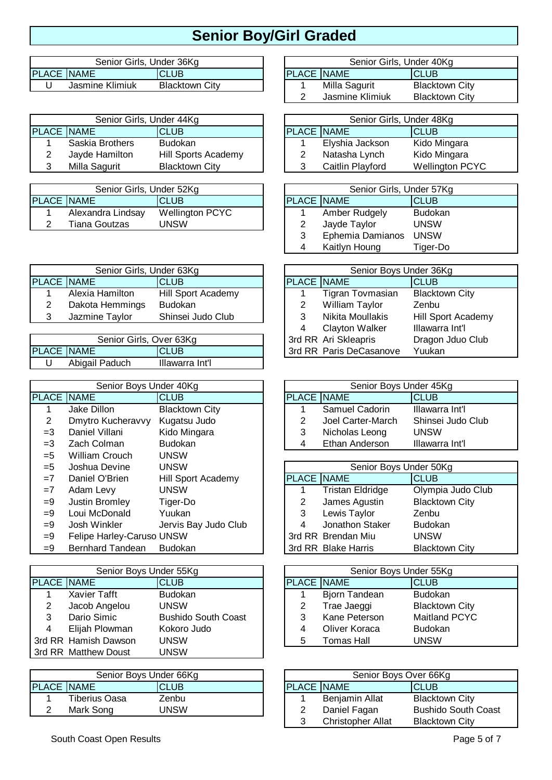# **Senior Boy/Girl Graded**

|                   | Senior Girls, Under 36Kg |                   | Senior Girls, Under 40Kg |
|-------------------|--------------------------|-------------------|--------------------------|
| <b>PLACE NAME</b> | CLUB                     | <b>PLACE NAME</b> | <b>CLUB</b>              |
| Jasmine Klimiuk   | <b>Blacktown City</b>    | Milla Sagurit     | <b>Blacktown City</b>    |

| Senior Girls, Under 44Kg |                 |                       | Senior Girls, Under 48Kg |                  |                        |
|--------------------------|-----------------|-----------------------|--------------------------|------------------|------------------------|
| <b>PLACE NAME</b>        |                 | <b>CLUB</b>           | <b>PLACE NAME</b>        |                  | ICLUB                  |
|                          | Saskia Brothers | <b>Budokan</b>        |                          | Elyshia Jackson  | Kido Mingara           |
|                          | Jayde Hamilton  | Hill Sports Academy   |                          | Natasha Lynch    | Kido Mingara           |
|                          | Milla Sagurit   | <b>Blacktown City</b> |                          | Caitlin Playford | <b>Wellington PCYC</b> |

| Senior Girls, Under 52Kg |                   |                        |                     | Senior Girls, Under 57K |             |
|--------------------------|-------------------|------------------------|---------------------|-------------------------|-------------|
| <b>PLACE INAME</b>       |                   | <b>CLUB</b>            | <b>IPLACE INAME</b> |                         | <b>CLUB</b> |
|                          | Alexandra Lindsay | <b>Wellington PCYC</b> |                     | Amber Rudgely           | Budokan     |
|                          | Tiana Goutzas     | JNSW.                  |                     | Jayde Taylor            | UNSW        |

| Senior Girls, Under 63Kg |                 |                    |  | Senior Boys Under 36Kg |                  |                       |  |
|--------------------------|-----------------|--------------------|--|------------------------|------------------|-----------------------|--|
| IPLACE INAME             |                 | <b>CLUB</b>        |  | <b>PLACE NAME</b>      |                  | ICLUB                 |  |
|                          | Alexia Hamilton | Hill Sport Academy |  |                        | Tigran Tovmasian | <b>Blacktown City</b> |  |
|                          | Dakota Hemmings | <b>Budokan</b>     |  |                        | William Taylor   | Zenbu                 |  |
|                          | Jazmine Taylor  | Shinsei Judo Club  |  |                        | Nikita Moullakis | Hill Sport Academy    |  |

| Senior Girls, Over 63Kg |                |                 | 3rd RR Ari Skleapris    | Dragon |
|-------------------------|----------------|-----------------|-------------------------|--------|
| <b>PLACE NAME</b>       |                | <b>ICLUB</b>    | 3rd RR Paris DeCasanove | Yuukan |
|                         | Abigail Paduch | Illawarra Int'l |                         |        |

| Senior Boys Under 40Kg |                           |                           | Senior Boys Under 45Kg |                         |                       |
|------------------------|---------------------------|---------------------------|------------------------|-------------------------|-----------------------|
| <b>PLACE NAME</b>      |                           | <b>CLUB</b>               | <b>PLACE NAME</b>      |                         | <b>CLUB</b>           |
|                        | Jake Dillon               | <b>Blacktown City</b>     |                        | Samuel Cadorin          | Illawarra Int'l       |
| 2                      | Dmytro Kucheravvy         | Kugatsu Judo              | 2                      | Joel Carter-March       | Shinsei Judo Club     |
| $=$ 3                  | Daniel Villani            | Kido Mingara              | 3                      | Nicholas Leong          | <b>UNSW</b>           |
| $=3$                   | Zach Colman               | <b>Budokan</b>            | 4                      | Ethan Anderson          | Illawarra Int'l       |
| $= 5$                  | <b>William Crouch</b>     | <b>UNSW</b>               |                        |                         |                       |
| $= 5$                  | Joshua Devine             | <b>UNSW</b>               |                        | Senior Boys Under 50Kg  |                       |
| $=7$                   | Daniel O'Brien            | <b>Hill Sport Academy</b> | <b>PLACE NAME</b>      |                         | <b>CLUB</b>           |
| $=7$                   | Adam Levy                 | <b>UNSW</b>               |                        | <b>Tristan Eldridge</b> | Olympia Judo Club     |
| $=9$                   | <b>Justin Bromley</b>     | Tiger-Do                  | 2                      | James Agustin           | <b>Blacktown City</b> |
| $=9$                   | Loui McDonald             | Yuukan                    | 3                      | Lewis Taylor            | Zenbu                 |
| $=9$                   | Josh Winkler              | Jervis Bay Judo Club      | 4                      | <b>Jonathon Staker</b>  | <b>Budokan</b>        |
| $=9$                   | Felipe Harley-Caruso UNSW |                           |                        | 3rd RR Brendan Miu      | <b>UNSW</b>           |
| $=9$                   | <b>Bernhard Tandean</b>   | <b>Budokan</b>            |                        | 3rd RR Blake Harris     | <b>Blacktown City</b> |

| Senior Boys Under 55Kg |                      |                            | Senior Boys Under 55Kg |                      |                       |
|------------------------|----------------------|----------------------------|------------------------|----------------------|-----------------------|
| <b>PLACE NAME</b>      |                      | <b>CLUB</b>                | <b>PLACE NAME</b>      |                      | <b>CLUB</b>           |
|                        | Xavier Tafft         | <b>Budokan</b>             |                        | <b>Bjorn Tandean</b> | <b>Budokan</b>        |
|                        | Jacob Angelou        | <b>UNSW</b>                |                        | Trae Jaeggi          | <b>Blacktown City</b> |
| 3                      | Dario Simic          | <b>Bushido South Coast</b> |                        | Kane Peterson        | <b>Maitland PCYC</b>  |
| 4                      | Elijah Plowman       | Kokoro Judo                | 4                      | Oliver Koraca        | <b>Budokan</b>        |
|                        | 3rd RR Hamish Dawson | <b>UNSW</b>                | 5                      | <b>Tomas Hall</b>    | <b>UNSW</b>           |
|                        | 3rd RR Matthew Doust | UNSW                       |                        |                      |                       |

| Senior Boys Under 66Kg |               |             |                     | Senior Boys Over 66Kg |                       |
|------------------------|---------------|-------------|---------------------|-----------------------|-----------------------|
|                        |               |             |                     |                       |                       |
| <b>PLACE NAME</b>      |               | <b>CLUB</b> | <b>IPLACE INAME</b> |                       | CLUB                  |
|                        | Tiberius Oasa | Zenbu       |                     | Benjamin Allat        | <b>Blacktown City</b> |
|                        | Mark Song     | JNSW        |                     | Daniel Fagan          | <b>Bushido South</b>  |
|                        |               |             |                     |                       |                       |

| Senior Girls, Under 40Kg |                 |                       |  |  |
|--------------------------|-----------------|-----------------------|--|--|
| PLACE NAME               |                 | ICLUB                 |  |  |
| 1.                       | Milla Sagurit   | <b>Blacktown City</b> |  |  |
|                          | Jasmine Klimiuk | <b>Blacktown City</b> |  |  |
|                          |                 |                       |  |  |

| Senior Girls, Under 44Kg |                       |                   | Senior Girls, Under 48Kg |                        |  |  |  |  |
|--------------------------|-----------------------|-------------------|--------------------------|------------------------|--|--|--|--|
|                          | CLUB                  | <b>PLACE NAME</b> |                          | ICLUB                  |  |  |  |  |
| ∟Brothers                | <b>Budokan</b>        |                   | Elyshia Jackson          | Kido Mingara           |  |  |  |  |
| <b>Hamilton</b>          | Hill Sports Academy   | າ                 | Natasha Lynch            | Kido Mingara           |  |  |  |  |
| agurit                   | <b>Blacktown City</b> | 3                 | Caitlin Playford         | <b>Wellington PCYC</b> |  |  |  |  |
|                          |                       |                   |                          |                        |  |  |  |  |

| Senior Girls, Under 52Kg |                        |                                   |   | Senior Girls, Under 57Kg |                |  |  |  |
|--------------------------|------------------------|-----------------------------------|---|--------------------------|----------------|--|--|--|
|                          | <b>CLUB</b>            | <b>PLACE NAME</b><br><b>ICLUB</b> |   |                          |                |  |  |  |
| dra Lindsay              | <b>Wellington PCYC</b> |                                   |   | Amber Rudgely            | <b>Budokan</b> |  |  |  |
| Goutzas                  | UNSW                   |                                   | 2 | Jayde Taylor             | UNSW           |  |  |  |
|                          |                        |                                   | 3 | Ephemia Damianos         | <b>UNSW</b>    |  |  |  |
|                          |                        |                                   | 4 | Kaitlyn Houng            | Tiger-Do       |  |  |  |

|                   | Senior Boys Under 36Kg  |                       |  |  |  |
|-------------------|-------------------------|-----------------------|--|--|--|
| <b>PLACE NAME</b> |                         | <b>CLUB</b>           |  |  |  |
| 1                 | Tigran Tovmasian        | <b>Blacktown City</b> |  |  |  |
| 2                 | William Taylor          | Zenbu                 |  |  |  |
| 3                 | Nikita Moullakis        | Hill Sport Academy    |  |  |  |
| 4                 | <b>Clayton Walker</b>   | Illawarra Int'l       |  |  |  |
|                   | 3rd RR Ari Skleapris    | Dragon Jduo Club      |  |  |  |
|                   | 3rd RR Paris DeCasanove | Yuukan                |  |  |  |

|                   | Senior Boys Under 45Kg |                   |  |  |  |
|-------------------|------------------------|-------------------|--|--|--|
| <b>PLACE NAME</b> |                        | <b>CLUB</b>       |  |  |  |
|                   | Samuel Cadorin         | Illawarra Int'l   |  |  |  |
| $\mathcal{P}$     | Joel Carter-March      | Shinsei Judo Club |  |  |  |
| 3                 | Nicholas Leong         | <b>UNSW</b>       |  |  |  |
| Δ                 | Ethan Anderson         | Illawarra Int'l   |  |  |  |
|                   |                        |                   |  |  |  |

|                   | Senior Boys Under 50Kg  |                       |  |  |  |
|-------------------|-------------------------|-----------------------|--|--|--|
| <b>PLACE NAME</b> |                         | <b>CLUB</b>           |  |  |  |
| 1.                | <b>Tristan Eldridge</b> | Olympia Judo Club     |  |  |  |
| 2                 | James Agustin           | <b>Blacktown City</b> |  |  |  |
| 3 <sup>1</sup>    | Lewis Taylor            | Zenbu                 |  |  |  |
| 4                 | Jonathon Staker         | <b>Budokan</b>        |  |  |  |
|                   | 3rd RR Brendan Miu      | <b>UNSW</b>           |  |  |  |
|                   | 3rd RR Blake Harris     | <b>Blacktown City</b> |  |  |  |

| Senior Boys Under 55Kg |                            |  | Senior Boys Under 55Kg           |                      |                       |  |  |
|------------------------|----------------------------|--|----------------------------------|----------------------|-----------------------|--|--|
|                        | <b>CLUB</b>                |  | <b>PLACE NAME</b><br><b>CLUB</b> |                      |                       |  |  |
| Tafft                  | <b>Budokan</b>             |  |                                  | <b>Bjorn Tandean</b> | <b>Budokan</b>        |  |  |
| Angelou                | <b>UNSW</b>                |  | 2                                | Trae Jaeggi          | <b>Blacktown City</b> |  |  |
| Simic                  | <b>Bushido South Coast</b> |  | 3                                | Kane Peterson        | Maitland PCYC         |  |  |
| Plowman                | Kokoro Judo                |  | 4                                | Oliver Koraca        | <b>Budokan</b>        |  |  |
| h Dawson               | UNSW                       |  | 5                                | Tomas Hall           | <b>UNSW</b>           |  |  |

| Senior Boys Under 66Kg |                  |             | Senior Boys Over 66Kg |                          |                            |  |  |
|------------------------|------------------|-------------|-----------------------|--------------------------|----------------------------|--|--|
|                        | <b>\CE  NAME</b> | <b>CLUB</b> | <b>PLACE NAME</b>     |                          | ICLUB                      |  |  |
|                        | Tiberius Oasa    | Zenbu       |                       | Benjamin Allat           | <b>Blacktown City</b>      |  |  |
|                        | Mark Song        | UNSW        |                       | Daniel Fagan             | <b>Bushido South Coast</b> |  |  |
|                        |                  |             | າ                     | <b>Christopher Allat</b> | <b>Blacktown City</b>      |  |  |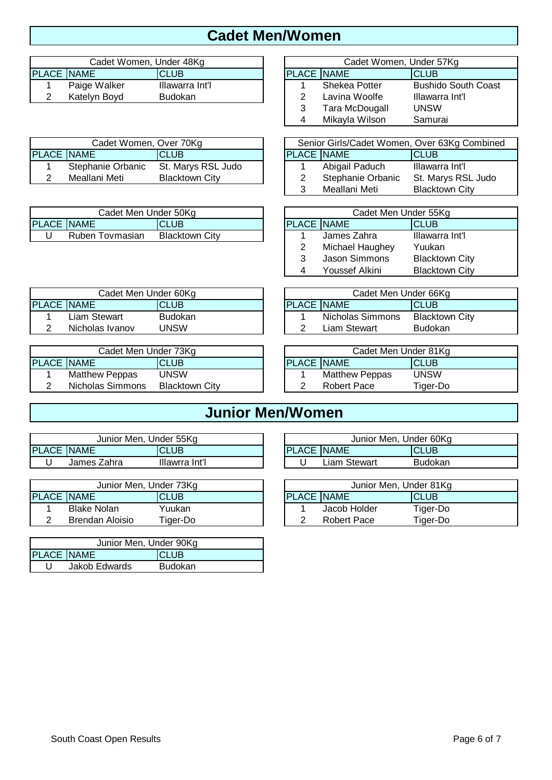#### **Cadet Men/Women**

|                   | Cadet Women, Under 48Kg |                 |                   | Cadet Women, Under 57Kg |                            |
|-------------------|-------------------------|-----------------|-------------------|-------------------------|----------------------------|
| <b>PLACE NAME</b> |                         | CLUB            | <b>PLACE NAME</b> |                         | <b>CLUB</b>                |
|                   | Paige Walker            | Illawarra Int'l |                   | Shekea Potter           | <b>Bushido South Coast</b> |
|                   | Katelyn Boyd            | Budokan         |                   | Lavina Woolfe           | Illawarra Int'l            |
|                   |                         |                 |                   |                         |                            |

|                   | Cadet Women, Over 70Kg |                       |                   | Senior Girls/Cadet Women, Over 63Kg Combin |                    |
|-------------------|------------------------|-----------------------|-------------------|--------------------------------------------|--------------------|
| <b>PLACE NAME</b> |                        | ICLUB                 | <b>PLACE NAME</b> |                                            | ICLUB              |
|                   | Stephanie Orbanic      | St. Marys RSL Judo    |                   | Abigail Paduch                             | Illawarra Int'l    |
|                   | Meallani Meti          | <b>Blacktown City</b> |                   | Stephanie Orbanic                          | St. Marys RSL Judo |

|                   | Cadet Men Under 50Kɑ |                       |  |                   | Cadet Men Under 55Kɑ |                 |
|-------------------|----------------------|-----------------------|--|-------------------|----------------------|-----------------|
| <b>PLACE NAME</b> |                      | <b>CLUB</b>           |  | <b>PLACE NAME</b> |                      | <b>ICLUB</b>    |
|                   | Ruben<br>Tovmasian   | <b>Blacktown City</b> |  |                   | James Zahra          | Illawarra Int'l |

| Cadet Women, Under 57Kg |                |                            |  |  |
|-------------------------|----------------|----------------------------|--|--|
| <b>PLACE NAME</b>       |                | <b>CLUB</b>                |  |  |
|                         | Shekea Potter  | <b>Bushido South Coast</b> |  |  |
| 2                       | Lavina Woolfe  | Illawarra Int'l            |  |  |
| 3                       | Tara McDougall | <b>UNSW</b>                |  |  |
| 4                       | Mikayla Wilson | Samurai                    |  |  |

| Cadet Women, Over 70Kg |                       |  | Senior Girls/Cadet Women, Over 63Kg Combined |                   |                       |  |  |
|------------------------|-----------------------|--|----------------------------------------------|-------------------|-----------------------|--|--|
|                        | ICLUB                 |  | <b>PLACE NAME</b>                            |                   | <b>CLUB</b>           |  |  |
| anie Orbanic           | St. Marys RSL Judo    |  |                                              | Abigail Paduch    | Illawarra Int'l       |  |  |
| ani Meti               | <b>Blacktown City</b> |  |                                              | Stephanie Orbanic | St. Marys RSL Judo    |  |  |
|                        |                       |  |                                              | Meallani Meti     | <b>Blacktown City</b> |  |  |

| Cadet Men Under 55Kg |                      |                       |  |  |  |  |
|----------------------|----------------------|-----------------------|--|--|--|--|
| <b>PLACE NAME</b>    |                      | <b>CLUB</b>           |  |  |  |  |
| 1.                   | James Zahra          | Illawarra Int'l       |  |  |  |  |
| 2                    | Michael Haughey      | Yuukan                |  |  |  |  |
| 3                    | <b>Jason Simmons</b> | <b>Blacktown City</b> |  |  |  |  |
|                      | Youssef Alkini       | <b>Blacktown City</b> |  |  |  |  |

| Cadet Men Under 60Kg |                 |                | Cadet Men Under 66Kg |                  |                       |
|----------------------|-----------------|----------------|----------------------|------------------|-----------------------|
| PLACE NAME           |                 | CLUB           | <b>PLACE NAME</b>    |                  | <b>CLUB</b>           |
|                      | Liam Stewart    | <b>Budokan</b> |                      | Nicholas Simmons | <b>Blacktown City</b> |
|                      | Nicholas Ivanov | UNSW           |                      | Liam Stewart     | <b>Budokan</b>        |
|                      |                 |                |                      |                  |                       |

| Cadet Men Under 73Kg |                       |                       | Cadet Men Under 81Kg |                       |             |
|----------------------|-----------------------|-----------------------|----------------------|-----------------------|-------------|
|                      | <b>PLACE NAME</b>     | <b>CLUB</b>           | <b>IPLACE INAME</b>  |                       | <b>CLUB</b> |
|                      | <b>Matthew Peppas</b> | UNSW                  |                      | <b>Matthew Peppas</b> | UNSW        |
|                      | Nicholas Simmons      | <b>Blacktown City</b> |                      | Robert Pace           | Tiger-Do    |

| Cadet Men Under 66Kg      |                  |                       |  |  |  |  |
|---------------------------|------------------|-----------------------|--|--|--|--|
| PLACE NAME<br><b>CLUB</b> |                  |                       |  |  |  |  |
|                           | Nicholas Simmons | <b>Blacktown City</b> |  |  |  |  |
|                           | Liam Stewart     | <b>Budokan</b>        |  |  |  |  |
|                           |                  |                       |  |  |  |  |

| Cadet Men Under 81Kg |                       |              |  |  |  |  |
|----------------------|-----------------------|--------------|--|--|--|--|
| <b>PLACE NAME</b>    |                       | <b>ICLUB</b> |  |  |  |  |
|                      | <b>Matthew Peppas</b> | <b>UNSW</b>  |  |  |  |  |
| 2                    | Robert Pace           | Tiger-Do     |  |  |  |  |

#### **Junior Men/Women**

| Junior Men, Under 55Kg |             |                |                     | Junior Men, Under 60K |             |
|------------------------|-------------|----------------|---------------------|-----------------------|-------------|
| <b>PLACE NAME</b>      |             | <b>CLUB</b>    | <b>IPLACE INAME</b> |                       | <b>CLUB</b> |
|                        | James Zahra | Illawrra Int'l |                     | ∟iam Stewart          | Budokan     |

| Junior Men, Under 73Kg |                 |          |                     | Junior Men, Under 81K |             |
|------------------------|-----------------|----------|---------------------|-----------------------|-------------|
| <b>PLACE NAME</b>      |                 | CLUB     | <b>IPLACE INAME</b> |                       | <b>CLUB</b> |
|                        | Blake Nolan     | Yuukan   |                     | Jacob Holder          | Tiger-Dc    |
|                        | Brendan Aloisio | Tiger-Do |                     | Robert Pace           | Tiaer-Dc    |

| Junior Men, Under 90Kg |               |                |  |  |  |
|------------------------|---------------|----------------|--|--|--|
| <b>PLACE NAME</b>      |               | <b>ICLUB</b>   |  |  |  |
|                        | Jakob Edwards | <b>Budokan</b> |  |  |  |

| Junior Men, Under 55Kg |                |  | Junior Men. Under 60Ka |              |              |  |  |
|------------------------|----------------|--|------------------------|--------------|--------------|--|--|
|                        | <b>CLUB</b>    |  | <b>PLACE NAME</b>      |              | <b>ICLUB</b> |  |  |
| Zahra                  | Illawrra Int'l |  |                        | Liam Stewart | Budokan      |  |  |

| Junior Men, Under 73Kg |          | Junior Men, Under 81Kg |              |          |  |  |  |
|------------------------|----------|------------------------|--------------|----------|--|--|--|
|                        | CLUB     | <b>PLACE NAME</b>      |              | ICLUB    |  |  |  |
| Nolan                  | Yuukan   |                        | Jacob Holder | Tiger-Do |  |  |  |
| ın Aloisio             | Tiger-Do |                        | Robert Pace  | Tiger-Do |  |  |  |